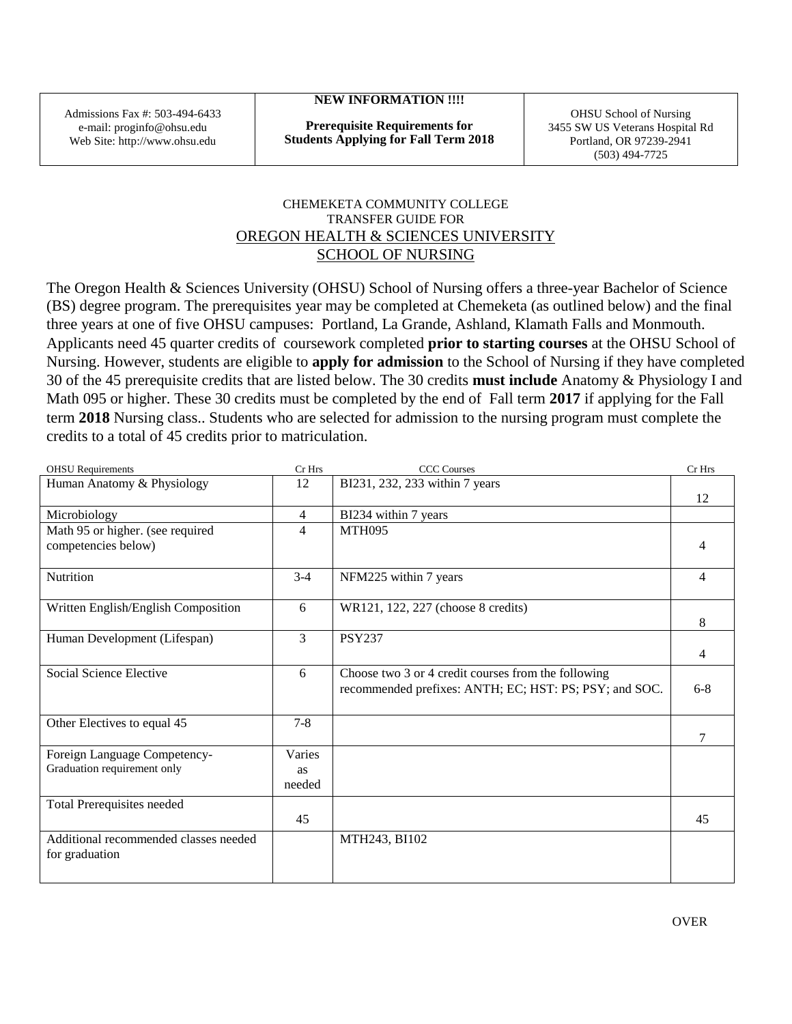Admissions Fax #: 503-494-6433 e-mail: proginfo@ohsu.edu Web Site: http://www.ohsu.edu

## **NEW INFORMATION !!!!**

**Prerequisite Requirements for Students Applying for Fall Term 2018**

OHSU School of Nursing 3455 SW US Veterans Hospital Rd Portland, OR 97239-2941 (503) 494-7725

## CHEMEKETA COMMUNITY COLLEGE TRANSFER GUIDE FOR OREGON HEALTH & SCIENCES UNIVERSITY SCHOOL OF NURSING

The Oregon Health & Sciences University (OHSU) School of Nursing offers a three-year Bachelor of Science (BS) degree program. The prerequisites year may be completed at Chemeketa (as outlined below) and the final three years at one of five OHSU campuses: Portland, La Grande, Ashland, Klamath Falls and Monmouth. Applicants need 45 quarter credits of coursework completed **prior to starting courses** at the OHSU School of Nursing. However, students are eligible to **apply for admission** to the School of Nursing if they have completed 30 of the 45 prerequisite credits that are listed below. The 30 credits **must include** Anatomy & Physiology I and Math 095 or higher. These 30 credits must be completed by the end of Fall term **2017** if applying for the Fall term **2018** Nursing class.. Students who are selected for admission to the nursing program must complete the credits to a total of 45 credits prior to matriculation.

| <b>OHSU</b> Requirements                                    | Cr Hrs         | <b>CCC</b> Courses                                     | Cr Hrs |
|-------------------------------------------------------------|----------------|--------------------------------------------------------|--------|
| Human Anatomy & Physiology                                  | 12             | BI231, 232, 233 within 7 years                         |        |
|                                                             |                |                                                        | 12     |
| Microbiology                                                | $\overline{4}$ | BI234 within 7 years                                   |        |
| Math 95 or higher. (see required                            | $\overline{4}$ | <b>MTH095</b>                                          |        |
| competencies below)                                         |                |                                                        | 4      |
|                                                             |                |                                                        |        |
| Nutrition                                                   | $3-4$          | NFM225 within 7 years                                  | 4      |
|                                                             |                |                                                        |        |
| Written English/English Composition                         | 6              | WR121, 122, 227 (choose 8 credits)                     |        |
|                                                             |                |                                                        | 8      |
| Human Development (Lifespan)                                | 3              | <b>PSY237</b>                                          |        |
|                                                             |                |                                                        | 4      |
| Social Science Elective                                     | 6              | Choose two 3 or 4 credit courses from the following    |        |
|                                                             |                | recommended prefixes: ANTH; EC; HST: PS; PSY; and SOC. | $6-8$  |
|                                                             |                |                                                        |        |
| Other Electives to equal 45                                 | $7 - 8$        |                                                        |        |
|                                                             |                |                                                        | 7      |
|                                                             | Varies         |                                                        |        |
| Foreign Language Competency-<br>Graduation requirement only |                |                                                        |        |
|                                                             | <b>as</b>      |                                                        |        |
|                                                             | needed         |                                                        |        |
| Total Prerequisites needed                                  |                |                                                        |        |
|                                                             | 45             |                                                        | 45     |
| Additional recommended classes needed                       |                | MTH243, BI102                                          |        |
| for graduation                                              |                |                                                        |        |
|                                                             |                |                                                        |        |
|                                                             |                |                                                        |        |